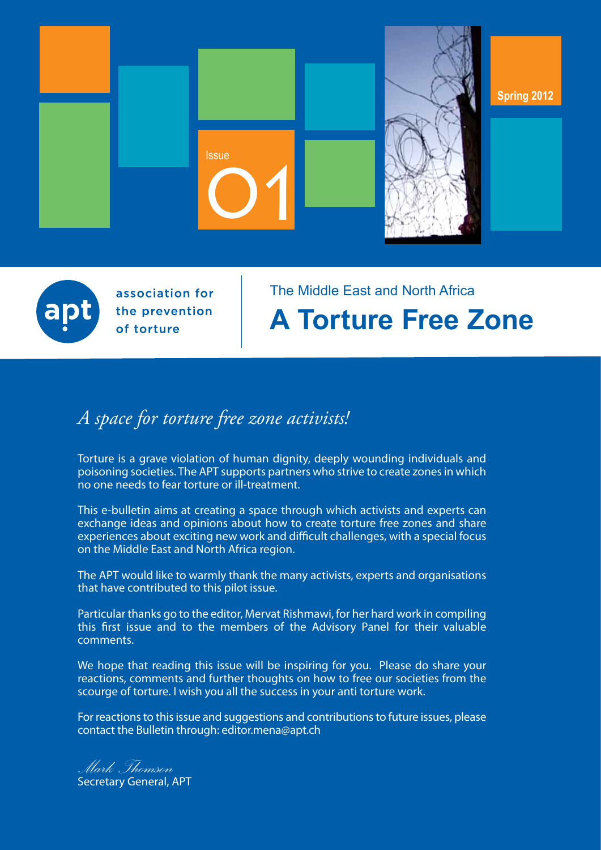



association for the prevention of torture

# The Middle East and North Africa **A Torture Free Zone**

# *A space for torture free zone activists!*

Torture is a grave violation of human dignity, deeply wounding individuals and poisoning societies. The APT supports partners who strive to create zones in which no one needs to fear torture or ill-treatment.

This e-bulletin aims at creating a space through which activists and experts can exchange ideas and opinions about how to create torture free zones and share experiences about exciting new work and difficult challenges, with a special focus on the Middle East and North Africa region.

The APT would like to warmly thank the many activists, experts and organisations that have contributed to this pilot issue.

Particular thanks go to the editor, Mervat Rishmawi, for her hard work in compiling this first issue and to the members of the Advisory Panel for their valuable comments.

We hope that reading this issue will be inspiring for you. Please do share your reactions, comments and further thoughts on how to free our societies from the scourge of torture. I wish you all the success in your anti torture work.

For reactions to this issue and suggestions and contributions to future issues, please contact the Bulletin through: [editor.mena@apt.ch](mailto:editor.mena@apt.ch)

*Mark Thomson* Secretary General, APT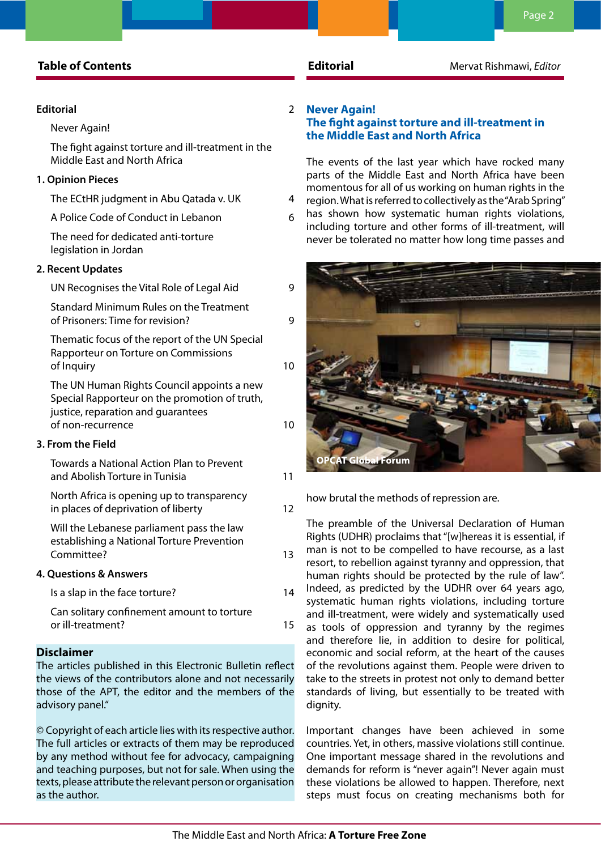# **Table of Contents Editorial Editorial** Mervat Rishmawi, *Editor*

# **Editorial** 2

# Never Again!

The fight against torture and ill-treatment in the Middle East and North Africa

### **[1. Opinion Pieces](#page-3-0)**

[The ECtHR judgment in Abu Qatada v. UK](#page-3-0) 4

[A Police Code of Conduct in Lebanon](#page-5-0) 6

[The need for dedicated anti-torture](#page-6-0)  [legislation in Jordan](#page-6-0)

### **[2. Recent Updates](#page-8-0)**

| UN Recognises the Vital Role of Legal Aid                                                                                                              | 9  |
|--------------------------------------------------------------------------------------------------------------------------------------------------------|----|
| Standard Minimum Rules on the Treatment<br>of Prisoners: Time for revision?                                                                            | 9  |
| Thematic focus of the report of the UN Special<br>Rapporteur on Torture on Commissions<br>of Inquiry                                                   | 10 |
| The UN Human Rights Council appoints a new<br>Special Rapporteur on the promotion of truth,<br>justice, reparation and quarantees<br>of non-recurrence | 10 |
| 3. From the Field                                                                                                                                      |    |
| Towards a National Action Plan to Prevent<br>and Abolish Torture in Tunisia                                                                            | 11 |
| North Africa is opening up to transparency<br>in places of deprivation of liberty                                                                      | 12 |

[Will the Lebanese parliament pass the law](#page-12-0)  [establishing a National Torture Prevention](#page-12-0)  [Committee?](#page-12-0) 13

### **[4. Questions & Answers](#page-13-0)**

| Is a slap in the face torture?             | 14 |
|--------------------------------------------|----|
| Can solitary confinement amount to torture |    |
| or ill-treatment?                          | 15 |

### **Disclaimer**

The articles published in this Electronic Bulletin reflect the views of the contributors alone and not necessarily those of the APT, the editor and the members of the advisory panel."

© Copyright of each article lies with its respective author. The full articles or extracts of them may be reproduced by any method without fee for advocacy, campaigning and teaching purposes, but not for sale. When using the texts, please attribute the relevant person or organisation as the author.

# **Never Again!**

# **The fight against torture and ill-treatment in the Middle East and North Africa**

The events of the last year which have rocked many parts of the Middle East and North Africa have been momentous for all of us working on human rights in the region. What is referred to collectively as the "Arab Spring" has shown how systematic human rights violations, including torture and other forms of ill-treatment, will never be tolerated no matter how long time passes and



how brutal the methods of repression are.

The preamble of the Universal Declaration of Human Rights (UDHR) proclaims that "[w]hereas it is essential, if man is not to be compelled to have recourse, as a last resort, to rebellion against tyranny and oppression, that human rights should be protected by the rule of law". Indeed, as predicted by the UDHR over 64 years ago, systematic human rights violations, including torture and ill-treatment, were widely and systematically used as tools of oppression and tyranny by the regimes and therefore lie, in addition to desire for political, economic and social reform, at the heart of the causes of the revolutions against them. People were driven to take to the streets in protest not only to demand better standards of living, but essentially to be treated with dignity.

Important changes have been achieved in some countries. Yet, in others, massive violations still continue. One important message shared in the revolutions and demands for reform is "never again"! Never again must these violations be allowed to happen. Therefore, next steps must focus on creating mechanisms both for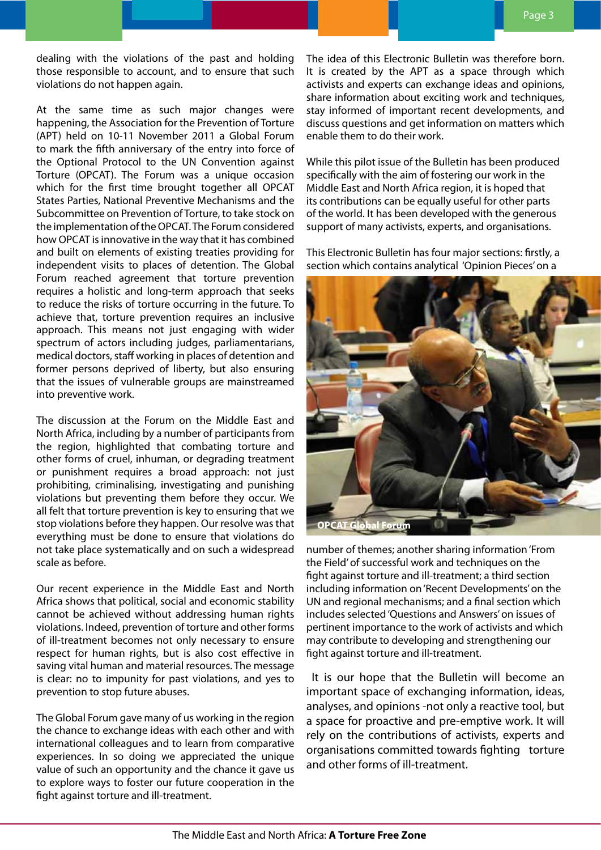dealing with the violations of the past and holding those responsible to account, and to ensure that such violations do not happen again.

At the same time as such major changes were happening, the Association for the Prevention of Torture (APT) held on 10-11 November 2011 a Global Forum to mark the fifth anniversary of the entry into force of the Optional Protocol to the UN Convention against Torture (OPCAT). The Forum was a unique occasion which for the first time brought together all OPCAT States Parties, National Preventive Mechanisms and the Subcommittee on Prevention of Torture, to take stock on the implementation of the OPCAT. The Forum considered how OPCAT is innovative in the way that it has combined and built on elements of existing treaties providing for independent visits to places of detention. The Global Forum reached agreement that torture prevention requires a holistic and long-term approach that seeks to reduce the risks of torture occurring in the future. To achieve that, torture prevention requires an inclusive approach. This means not just engaging with wider spectrum of actors including judges, parliamentarians, medical doctors, staff working in places of detention and former persons deprived of liberty, but also ensuring that the issues of vulnerable groups are mainstreamed into preventive work.

The discussion at the Forum on the Middle East and North Africa, including by a number of participants from the region, highlighted that combating torture and other forms of cruel, inhuman, or degrading treatment or punishment requires a broad approach: not just prohibiting, criminalising, investigating and punishing violations but preventing them before they occur. We all felt that torture prevention is key to ensuring that we stop violations before they happen. Our resolve was that everything must be done to ensure that violations do not take place systematically and on such a widespread scale as before.

Our recent experience in the Middle East and North Africa shows that political, social and economic stability cannot be achieved without addressing human rights violations. Indeed, prevention of torture and other forms of ill-treatment becomes not only necessary to ensure respect for human rights, but is also cost effective in saving vital human and material resources. The message is clear: no to impunity for past violations, and yes to prevention to stop future abuses.

The Global Forum gave many of us working in the region the chance to exchange ideas with each other and with international colleagues and to learn from comparative experiences. In so doing we appreciated the unique value of such an opportunity and the chance it gave us to explore ways to foster our future cooperation in the fight against torture and ill-treatment.

The idea of this Electronic Bulletin was therefore born. It is created by the APT as a space through which activists and experts can exchange ideas and opinions, share information about exciting work and techniques, stay informed of important recent developments, and discuss questions and get information on matters which enable them to do their work.

While this pilot issue of the Bulletin has been produced specifically with the aim of fostering our work in the Middle East and North Africa region, it is hoped that its contributions can be equally useful for other parts of the world. It has been developed with the generous support of many activists, experts, and organisations.

This Electronic Bulletin has four major sections: firstly, a section which contains analytical 'Opinion Pieces' on a



number of themes; another sharing information 'From the Field' of successful work and techniques on the fight against torture and ill-treatment; a third section including information on 'Recent Developments' on the UN and regional mechanisms; and a final section which includes selected 'Questions and Answers' on issues of pertinent importance to the work of activists and which may contribute to developing and strengthening our fight against torture and ill-treatment.

 It is our hope that the Bulletin will become an important space of exchanging information, ideas, analyses, and opinions -not only a reactive tool, but a space for proactive and pre-emptive work. It will rely on the contributions of activists, experts and organisations committed towards fighting torture and other forms of ill-treatment.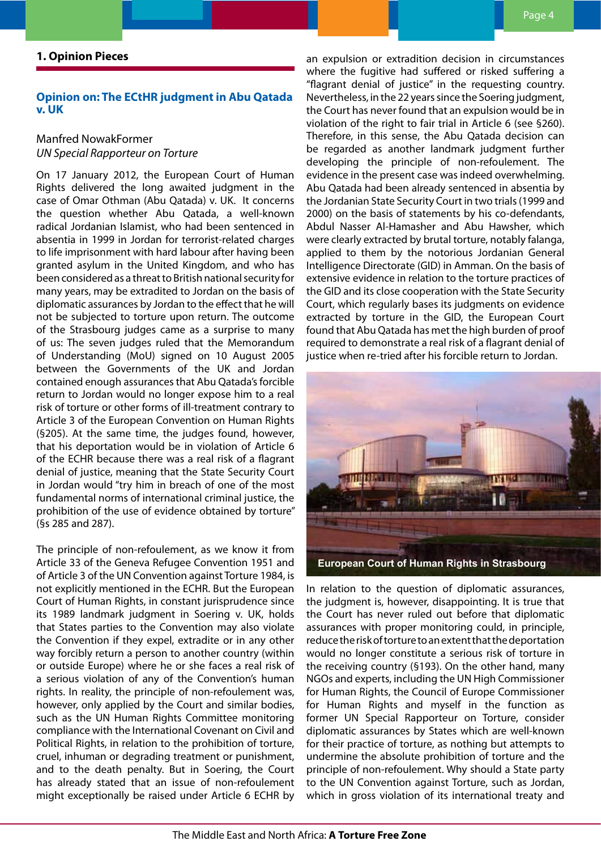# <span id="page-3-0"></span>**1. Opinion Pieces**

### **Opinion on: The ECtHR judgment in Abu Qatada v. UK**

# Manfred NowakFormer *UN Special Rapporteur on Torture*

On 17 January 2012, the European Court of Human Rights delivered the long awaited judgment in the case of Omar Othman (Abu Qatada) v. UK. It concerns the question whether Abu Qatada, a well-known radical Jordanian Islamist, who had been sentenced in absentia in 1999 in Jordan for terrorist-related charges to life imprisonment with hard labour after having been granted asylum in the United Kingdom, and who has been considered as a threat to British national security for many years, may be extradited to Jordan on the basis of diplomatic assurances by Jordan to the effect that he will not be subjected to torture upon return. The outcome of the Strasbourg judges came as a surprise to many of us: The seven judges ruled that the Memorandum of Understanding (MoU) signed on 10 August 2005 between the Governments of the UK and Jordan contained enough assurances that Abu Qatada's forcible return to Jordan would no longer expose him to a real risk of torture or other forms of ill-treatment contrary to Article 3 of the European Convention on Human Rights (§205). At the same time, the judges found, however, that his deportation would be in violation of Article 6 of the ECHR because there was a real risk of a flagrant denial of justice, meaning that the State Security Court in Jordan would "try him in breach of one of the most fundamental norms of international criminal justice, the prohibition of the use of evidence obtained by torture" (§s 285 and 287).

The principle of non-refoulement, as we know it from Article 33 of the Geneva Refugee Convention 1951 and of Article 3 of the UN Convention against Torture 1984, is not explicitly mentioned in the ECHR. But the European Court of Human Rights, in constant jurisprudence since its 1989 landmark judgment in Soering v. UK, holds that States parties to the Convention may also violate the Convention if they expel, extradite or in any other way forcibly return a person to another country (within or outside Europe) where he or she faces a real risk of a serious violation of any of the Convention's human rights. In reality, the principle of non-refoulement was, however, only applied by the Court and similar bodies, such as the UN Human Rights Committee monitoring compliance with the International Covenant on Civil and Political Rights, in relation to the prohibition of torture, cruel, inhuman or degrading treatment or punishment, and to the death penalty. But in Soering, the Court has already stated that an issue of non-refoulement might exceptionally be raised under Article 6 ECHR by

an expulsion or extradition decision in circumstances where the fugitive had suffered or risked suffering a "flagrant denial of justice" in the requesting country. Nevertheless, in the 22 years since the Soering judgment, the Court has never found that an expulsion would be in violation of the right to fair trial in Article 6 (see §260). Therefore, in this sense, the Abu Qatada decision can be regarded as another landmark judgment further developing the principle of non-refoulement. The evidence in the present case was indeed overwhelming. Abu Qatada had been already sentenced in absentia by the Jordanian State Security Court in two trials (1999 and 2000) on the basis of statements by his co-defendants, Abdul Nasser Al-Hamasher and Abu Hawsher, which were clearly extracted by brutal torture, notably falanga, applied to them by the notorious Jordanian General Intelligence Directorate (GID) in Amman. On the basis of extensive evidence in relation to the torture practices of the GID and its close cooperation with the State Security Court, which regularly bases its judgments on evidence extracted by torture in the GID, the European Court found that Abu Qatada has met the high burden of proof required to demonstrate a real risk of a flagrant denial of justice when re-tried after his forcible return to Jordan.



In relation to the question of diplomatic assurances, the judgment is, however, disappointing. It is true that the Court has never ruled out before that diplomatic assurances with proper monitoring could, in principle, reduce the risk of torture to an extent that the deportation would no longer constitute a serious risk of torture in the receiving country (§193). On the other hand, many NGOs and experts, including the UN High Commissioner for Human Rights, the Council of Europe Commissioner for Human Rights and myself in the function as former UN Special Rapporteur on Torture, consider diplomatic assurances by States which are well-known for their practice of torture, as nothing but attempts to undermine the absolute prohibition of torture and the principle of non-refoulement. Why should a State party to the UN Convention against Torture, such as Jordan, which in gross violation of its international treaty and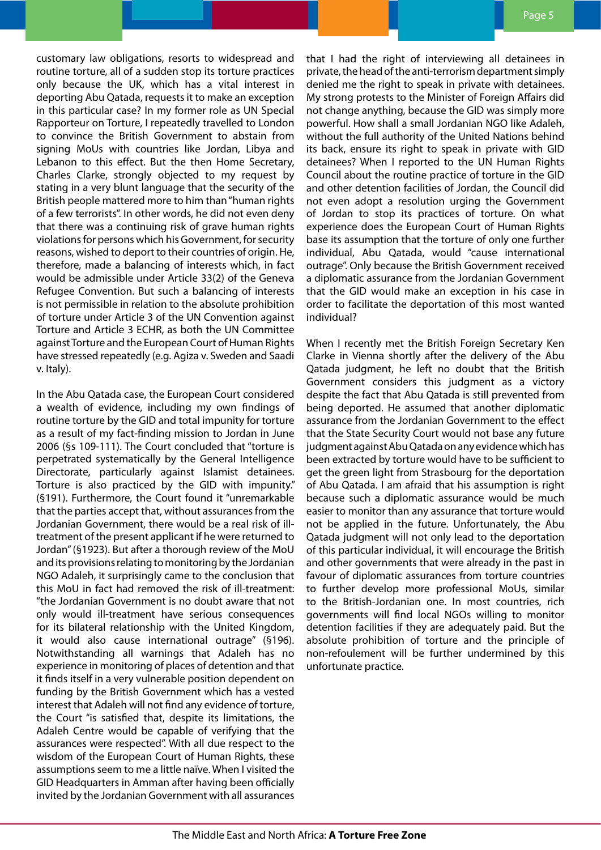customary law obligations, resorts to widespread and routine torture, all of a sudden stop its torture practices only because the UK, which has a vital interest in deporting Abu Qatada, requests it to make an exception in this particular case? In my former role as UN Special Rapporteur on Torture, I repeatedly travelled to London to convince the British Government to abstain from signing MoUs with countries like Jordan, Libya and Lebanon to this effect. But the then Home Secretary, Charles Clarke, strongly objected to my request by stating in a very blunt language that the security of the British people mattered more to him than "human rights of a few terrorists". In other words, he did not even deny that there was a continuing risk of grave human rights violations for persons which his Government, for security reasons, wished to deport to their countries of origin. He, therefore, made a balancing of interests which, in fact would be admissible under Article 33(2) of the Geneva Refugee Convention. But such a balancing of interests is not permissible in relation to the absolute prohibition of torture under Article 3 of the UN Convention against Torture and Article 3 ECHR, as both the UN Committee against Torture and the European Court of Human Rights have stressed repeatedly (e.g. Agiza v. Sweden and Saadi v. Italy).

In the Abu Qatada case, the European Court considered a wealth of evidence, including my own findings of routine torture by the GID and total impunity for torture as a result of my fact-finding mission to Jordan in June 2006 (§s 109-111). The Court concluded that "torture is perpetrated systematically by the General Intelligence Directorate, particularly against Islamist detainees. Torture is also practiced by the GID with impunity." (§191). Furthermore, the Court found it "unremarkable that the parties accept that, without assurances from the Jordanian Government, there would be a real risk of illtreatment of the present applicant if he were returned to Jordan" (§1923). But after a thorough review of the MoU and its provisions relating to monitoring by the Jordanian NGO Adaleh, it surprisingly came to the conclusion that this MoU in fact had removed the risk of ill-treatment: "the Jordanian Government is no doubt aware that not only would ill-treatment have serious consequences for its bilateral relationship with the United Kingdom, it would also cause international outrage" (§196). Notwithstanding all warnings that Adaleh has no experience in monitoring of places of detention and that it finds itself in a very vulnerable position dependent on funding by the British Government which has a vested interest that Adaleh will not find any evidence of torture, the Court "is satisfied that, despite its limitations, the Adaleh Centre would be capable of verifying that the assurances were respected". With all due respect to the wisdom of the European Court of Human Rights, these assumptions seem to me a little naïve. When I visited the GID Headquarters in Amman after having been officially invited by the Jordanian Government with all assurances

that I had the right of interviewing all detainees in private, the head of the anti-terrorism department simply denied me the right to speak in private with detainees. My strong protests to the Minister of Foreign Affairs did not change anything, because the GID was simply more powerful. How shall a small Jordanian NGO like Adaleh, without the full authority of the United Nations behind its back, ensure its right to speak in private with GID detainees? When I reported to the UN Human Rights Council about the routine practice of torture in the GID and other detention facilities of Jordan, the Council did not even adopt a resolution urging the Government of Jordan to stop its practices of torture. On what experience does the European Court of Human Rights base its assumption that the torture of only one further individual, Abu Qatada, would "cause international outrage". Only because the British Government received a diplomatic assurance from the Jordanian Government that the GID would make an exception in his case in order to facilitate the deportation of this most wanted individual?

When I recently met the British Foreign Secretary Ken Clarke in Vienna shortly after the delivery of the Abu Qatada judgment, he left no doubt that the British Government considers this judgment as a victory despite the fact that Abu Qatada is still prevented from being deported. He assumed that another diplomatic assurance from the Jordanian Government to the effect that the State Security Court would not base any future judgment against Abu Qatada on any evidence which has been extracted by torture would have to be sufficient to get the green light from Strasbourg for the deportation of Abu Qatada. I am afraid that his assumption is right because such a diplomatic assurance would be much easier to monitor than any assurance that torture would not be applied in the future. Unfortunately, the Abu Qatada judgment will not only lead to the deportation of this particular individual, it will encourage the British and other governments that were already in the past in favour of diplomatic assurances from torture countries to further develop more professional MoUs, similar to the British-Jordanian one. In most countries, rich governments will find local NGOs willing to monitor detention facilities if they are adequately paid. But the absolute prohibition of torture and the principle of non-refoulement will be further undermined by this unfortunate practice.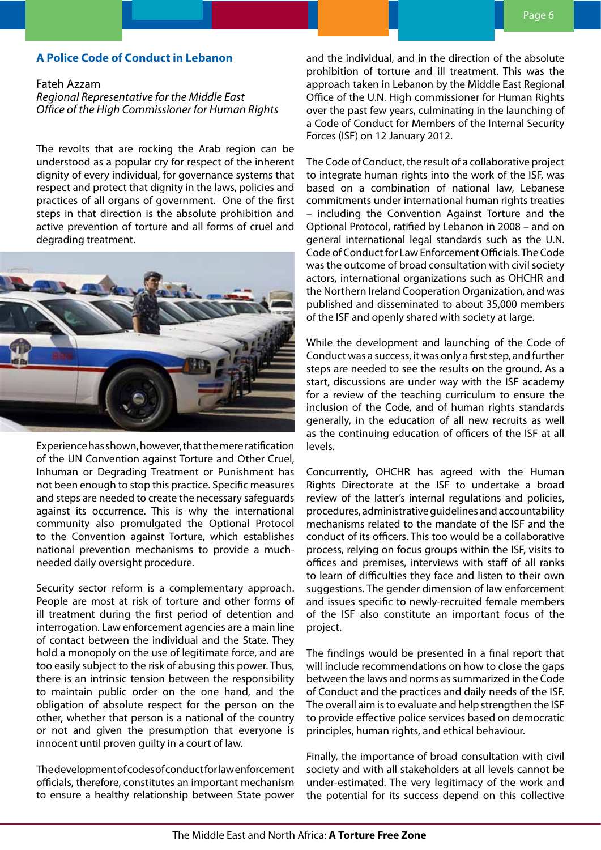### <span id="page-5-0"></span>**A Police Code of Conduct in Lebanon**

### Fateh Azzam

*Regional Representative for the Middle East Office of the High Commissioner for Human Rights*

The revolts that are rocking the Arab region can be understood as a popular cry for respect of the inherent dignity of every individual, for governance systems that respect and protect that dignity in the laws, policies and practices of all organs of government. One of the first steps in that direction is the absolute prohibition and active prevention of torture and all forms of cruel and degrading treatment.



Experience has shown, however, that the mere ratification of the UN Convention against Torture and Other Cruel, Inhuman or Degrading Treatment or Punishment has not been enough to stop this practice. Specific measures and steps are needed to create the necessary safeguards against its occurrence. This is why the international community also promulgated the Optional Protocol to the Convention against Torture, which establishes national prevention mechanisms to provide a muchneeded daily oversight procedure.

Security sector reform is a complementary approach. People are most at risk of torture and other forms of ill treatment during the first period of detention and interrogation. Law enforcement agencies are a main line of contact between the individual and the State. They hold a monopoly on the use of legitimate force, and are too easily subject to the risk of abusing this power. Thus, there is an intrinsic tension between the responsibility to maintain public order on the one hand, and the obligation of absolute respect for the person on the other, whether that person is a national of the country or not and given the presumption that everyone is innocent until proven guilty in a court of law.

The development of codes of conduct for law enforcement officials, therefore, constitutes an important mechanism to ensure a healthy relationship between State power and the individual, and in the direction of the absolute prohibition of torture and ill treatment. This was the approach taken in Lebanon by the Middle East Regional Office of the U.N. High commissioner for Human Rights over the past few years, culminating in the launching of a Code of Conduct for Members of the Internal Security Forces (ISF) on 12 January 2012.

The Code of Conduct, the result of a collaborative project to integrate human rights into the work of the ISF, was based on a combination of national law, Lebanese commitments under international human rights treaties – including the Convention Against Torture and the Optional Protocol, ratified by Lebanon in 2008 – and on general international legal standards such as the U.N. Code of Conduct for Law Enforcement Officials. The Code was the outcome of broad consultation with civil society actors, international organizations such as OHCHR and the Northern Ireland Cooperation Organization, and was published and disseminated to about 35,000 members of the ISF and openly shared with society at large.

While the development and launching of the Code of Conduct was a success, it was only a first step, and further steps are needed to see the results on the ground. As a start, discussions are under way with the ISF academy for a review of the teaching curriculum to ensure the inclusion of the Code, and of human rights standards generally, in the education of all new recruits as well as the continuing education of officers of the ISF at all levels.

Concurrently, OHCHR has agreed with the Human Rights Directorate at the ISF to undertake a broad review of the latter's internal regulations and policies, procedures, administrative guidelines and accountability mechanisms related to the mandate of the ISF and the conduct of its officers. This too would be a collaborative process, relying on focus groups within the ISF, visits to offices and premises, interviews with staff of all ranks to learn of difficulties they face and listen to their own suggestions. The gender dimension of law enforcement and issues specific to newly-recruited female members of the ISF also constitute an important focus of the project.

The findings would be presented in a final report that will include recommendations on how to close the gaps between the laws and norms as summarized in the Code of Conduct and the practices and daily needs of the ISF. The overall aim is to evaluate and help strengthen the ISF to provide effective police services based on democratic principles, human rights, and ethical behaviour.

Finally, the importance of broad consultation with civil society and with all stakeholders at all levels cannot be under-estimated. The very legitimacy of the work and the potential for its success depend on this collective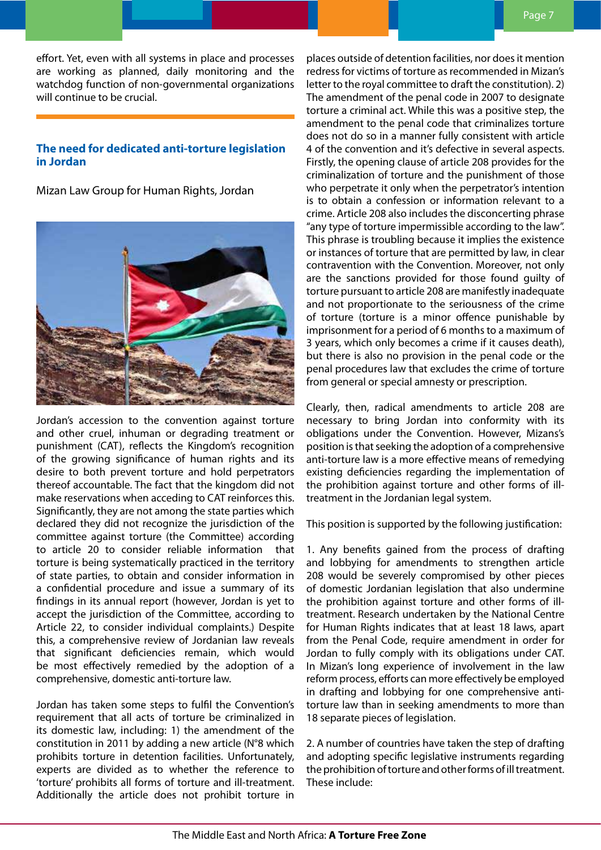<span id="page-6-0"></span>effort. Yet, even with all systems in place and processes are working as planned, daily monitoring and the watchdog function of non-governmental organizations will continue to be crucial.

# **The need for dedicated anti-torture legislation in Jordan**

Mizan Law Group for Human Rights, Jordan



Jordan's accession to the convention against torture and other cruel, inhuman or degrading treatment or punishment (CAT), reflects the Kingdom's recognition of the growing significance of human rights and its desire to both prevent torture and hold perpetrators thereof accountable. The fact that the kingdom did not make reservations when acceding to CAT reinforces this. Significantly, they are not among the state parties which declared they did not recognize the jurisdiction of the committee against torture (the Committee) according to article 20 to consider reliable information that torture is being systematically practiced in the territory of state parties, to obtain and consider information in a confidential procedure and issue a summary of its findings in its annual report (however, Jordan is yet to accept the jurisdiction of the Committee, according to Article 22, to consider individual complaints.) Despite this, a comprehensive review of Jordanian law reveals that significant deficiencies remain, which would be most effectively remedied by the adoption of a comprehensive, domestic anti-torture law.

Jordan has taken some steps to fulfil the Convention's requirement that all acts of torture be criminalized in its domestic law, including: 1) the amendment of the constitution in 2011 by adding a new article (N°8 which prohibits torture in detention facilities. Unfortunately, experts are divided as to whether the reference to 'torture' prohibits all forms of torture and ill-treatment. Additionally the article does not prohibit torture in places outside of detention facilities, nor does it mention redress for victims of torture as recommended in Mizan's letter to the royal committee to draft the constitution). 2) The amendment of the penal code in 2007 to designate torture a criminal act. While this was a positive step, the amendment to the penal code that criminalizes torture does not do so in a manner fully consistent with article 4 of the convention and it's defective in several aspects. Firstly, the opening clause of article 208 provides for the criminalization of torture and the punishment of those who perpetrate it only when the perpetrator's intention is to obtain a confession or information relevant to a crime. Article 208 also includes the disconcerting phrase "any type of torture impermissible according to the law". This phrase is troubling because it implies the existence or instances of torture that are permitted by law, in clear contravention with the Convention. Moreover, not only are the sanctions provided for those found guilty of torture pursuant to article 208 are manifestly inadequate and not proportionate to the seriousness of the crime of torture (torture is a minor offence punishable by imprisonment for a period of 6 months to a maximum of 3 years, which only becomes a crime if it causes death), but there is also no provision in the penal code or the penal procedures law that excludes the crime of torture from general or special amnesty or prescription.

Clearly, then, radical amendments to article 208 are necessary to bring Jordan into conformity with its obligations under the Convention. However, Mizans's position is that seeking the adoption of a comprehensive anti-torture law is a more effective means of remedying existing deficiencies regarding the implementation of the prohibition against torture and other forms of illtreatment in the Jordanian legal system.

This position is supported by the following justification:

1. Any benefits gained from the process of drafting and lobbying for amendments to strengthen article 208 would be severely compromised by other pieces of domestic Jordanian legislation that also undermine the prohibition against torture and other forms of illtreatment. Research undertaken by the National Centre for Human Rights indicates that at least 18 laws, apart from the Penal Code, require amendment in order for Jordan to fully comply with its obligations under CAT. In Mizan's long experience of involvement in the law reform process, efforts can more effectively be employed in drafting and lobbying for one comprehensive antitorture law than in seeking amendments to more than 18 separate pieces of legislation.

2. A number of countries have taken the step of drafting and adopting specific legislative instruments regarding the prohibition of torture and other forms of ill treatment. These include: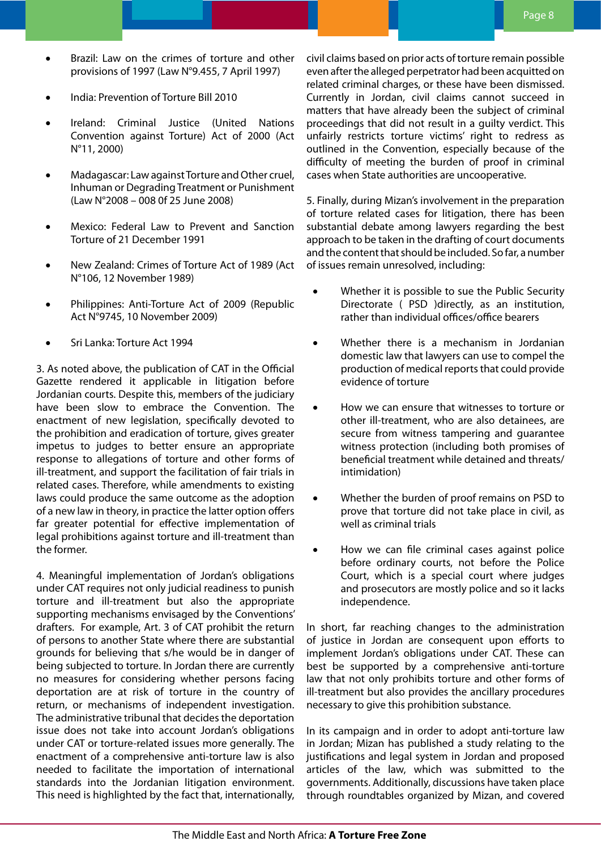- Brazil: Law on the crimes of torture and other provisions of 1997 (Law N°9.455, 7 April 1997)
- • India: Prevention of Torture Bill 2010
- Ireland: Criminal Justice (United Nations Convention against Torture) Act of 2000 (Act N°11, 2000)
- Madagascar: Law against Torture and Other cruel, Inhuman or Degrading Treatment or Punishment (Law N°2008 – 008 0f 25 June 2008)
- Mexico: Federal Law to Prevent and Sanction Torture of 21 December 1991
- New Zealand: Crimes of Torture Act of 1989 (Act N°106, 12 November 1989)
- Philippines: Anti-Torture Act of 2009 (Republic Act N°9745, 10 November 2009)
- Sri Lanka: Torture Act 1994

3. As noted above, the publication of CAT in the Official Gazette rendered it applicable in litigation before Jordanian courts. Despite this, members of the judiciary have been slow to embrace the Convention. The enactment of new legislation, specifically devoted to the prohibition and eradication of torture, gives greater impetus to judges to better ensure an appropriate response to allegations of torture and other forms of ill-treatment, and support the facilitation of fair trials in related cases. Therefore, while amendments to existing laws could produce the same outcome as the adoption of a new law in theory, in practice the latter option offers far greater potential for effective implementation of legal prohibitions against torture and ill-treatment than the former.

4. Meaningful implementation of Jordan's obligations under CAT requires not only judicial readiness to punish torture and ill-treatment but also the appropriate supporting mechanisms envisaged by the Conventions' drafters. For example, Art. 3 of CAT prohibit the return of persons to another State where there are substantial grounds for believing that s/he would be in danger of being subjected to torture. In Jordan there are currently no measures for considering whether persons facing deportation are at risk of torture in the country of return, or mechanisms of independent investigation. The administrative tribunal that decides the deportation issue does not take into account Jordan's obligations under CAT or torture-related issues more generally. The enactment of a comprehensive anti-torture law is also needed to facilitate the importation of international standards into the Jordanian litigation environment. This need is highlighted by the fact that, internationally,

civil claims based on prior acts of torture remain possible even after the alleged perpetrator had been acquitted on related criminal charges, or these have been dismissed. Currently in Jordan, civil claims cannot succeed in matters that have already been the subject of criminal proceedings that did not result in a guilty verdict. This unfairly restricts torture victims' right to redress as outlined in the Convention, especially because of the difficulty of meeting the burden of proof in criminal cases when State authorities are uncooperative.

5. Finally, during Mizan's involvement in the preparation of torture related cases for litigation, there has been substantial debate among lawyers regarding the best approach to be taken in the drafting of court documents and the content that should be included. So far, a number of issues remain unresolved, including:

- Whether it is possible to sue the Public Security Directorate ( PSD )directly, as an institution, rather than individual offices/office bearers
- Whether there is a mechanism in Jordanian domestic law that lawyers can use to compel the production of medical reports that could provide evidence of torture
- How we can ensure that witnesses to torture or other ill-treatment, who are also detainees, are secure from witness tampering and guarantee witness protection (including both promises of beneficial treatment while detained and threats/ intimidation)
- Whether the burden of proof remains on PSD to prove that torture did not take place in civil, as well as criminal trials
- How we can file criminal cases against police before ordinary courts, not before the Police Court, which is a special court where judges and prosecutors are mostly police and so it lacks independence.

In short, far reaching changes to the administration of justice in Jordan are consequent upon efforts to implement Jordan's obligations under CAT. These can best be supported by a comprehensive anti-torture law that not only prohibits torture and other forms of ill-treatment but also provides the ancillary procedures necessary to give this prohibition substance.

In its campaign and in order to adopt anti-torture law in Jordan; Mizan has published a study relating to the justifications and legal system in Jordan and proposed articles of the law, which was submitted to the governments. Additionally, discussions have taken place through roundtables organized by Mizan, and covered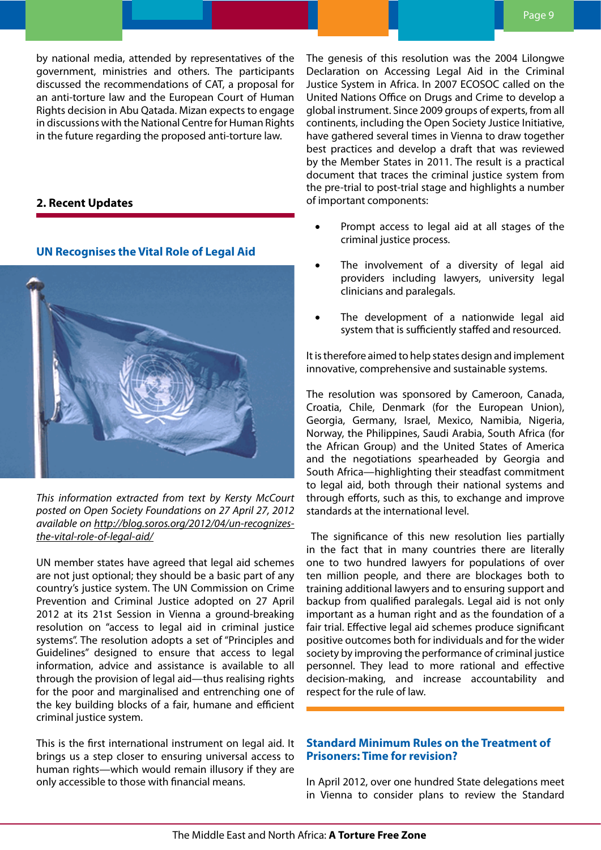<span id="page-8-0"></span>by national media, attended by representatives of the government, ministries and others. The participants discussed the recommendations of CAT, a proposal for an anti-torture law and the European Court of Human Rights decision in Abu Qatada. Mizan expects to engage in discussions with the National Centre for Human Rights in the future regarding the proposed anti-torture law.

# **2. Recent Updates**

**UN Recognises the Vital Role of Legal Aid**

*This information extracted from text by Kersty McCourt posted on Open Society Foundations on 27 April 27, 2012 available on [http://blog.soros.org/2012/04/un-recognizes](http://blog.soros.org/2012/04/un-recognizes-the-vital-role-of-legal-aid/)[the-vital-role-of-legal-aid/](http://blog.soros.org/2012/04/un-recognizes-the-vital-role-of-legal-aid/)*

UN member states have agreed that legal aid schemes are not just optional; they should be a basic part of any country's justice system. The UN Commission on Crime Prevention and Criminal Justice adopted on 27 April 2012 at its 21st Session in Vienna a ground-breaking resolution on "access to legal aid in criminal justice systems". The resolution adopts a set of "Principles and Guidelines" designed to ensure that access to legal information, advice and assistance is available to all through the provision of legal aid—thus realising rights for the poor and marginalised and entrenching one of the key building blocks of a fair, humane and efficient criminal justice system.

This is the first international instrument on legal aid. It brings us a step closer to ensuring universal access to human rights—which would remain illusory if they are only accessible to those with financial means.

The genesis of this resolution was the 2004 Lilongwe Declaration on Accessing Legal Aid in the Criminal Justice System in Africa. In 2007 ECOSOC called on the United Nations Office on Drugs and Crime to develop a global instrument. Since 2009 groups of experts, from all continents, including the Open Society Justice Initiative, have gathered several times in Vienna to draw together best practices and develop a draft that was reviewed by the Member States in 2011. The result is a practical document that traces the criminal justice system from the pre-trial to post-trial stage and highlights a number of important components:

- Prompt access to legal aid at all stages of the criminal justice process.
- The involvement of a diversity of legal aid providers including lawyers, university legal clinicians and paralegals.
- The development of a nationwide legal aid system that is sufficiently staffed and resourced.

It is therefore aimed to help states design and implement innovative, comprehensive and sustainable systems.

The resolution was sponsored by Cameroon, Canada, Croatia, Chile, Denmark (for the European Union), Georgia, Germany, Israel, Mexico, Namibia, Nigeria, Norway, the Philippines, Saudi Arabia, South Africa (for the African Group) and the United States of America and the negotiations spearheaded by Georgia and South Africa—highlighting their steadfast commitment to legal aid, both through their national systems and through efforts, such as this, to exchange and improve standards at the international level.

 The significance of this new resolution lies partially in the fact that in many countries there are literally one to two hundred lawyers for populations of over ten million people, and there are blockages both to training additional lawyers and to ensuring support and backup from qualified paralegals. Legal aid is not only important as a human right and as the foundation of a fair trial. Effective legal aid schemes produce significant positive outcomes both for individuals and for the wider society by improving the performance of criminal justice personnel. They lead to more rational and effective decision-making, and increase accountability and respect for the rule of law.

# **Standard Minimum Rules on the Treatment of Prisoners: Time for revision?**

In April 2012, over one hundred State delegations meet in Vienna to consider plans to review the Standard

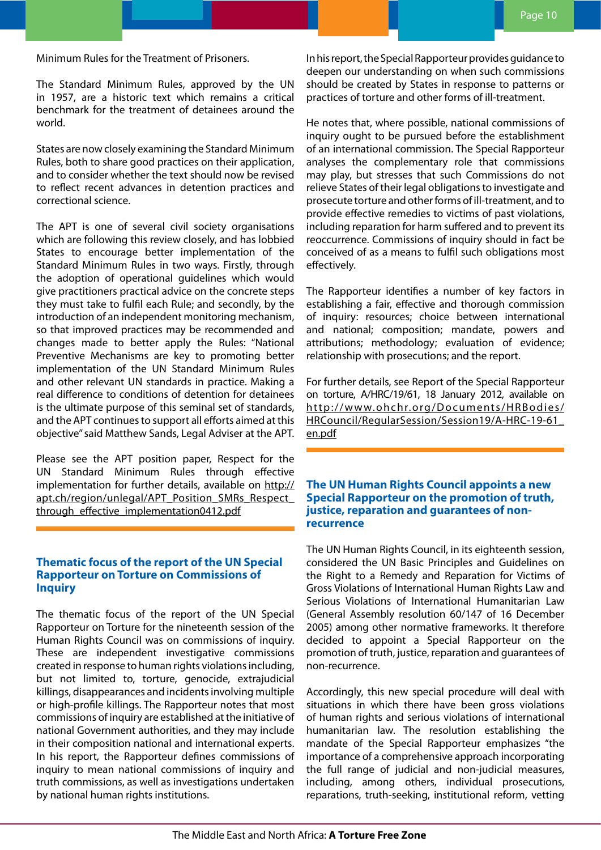<span id="page-9-0"></span>Minimum Rules for the Treatment of Prisoners.

The Standard Minimum Rules, approved by the UN in 1957, are a historic text which remains a critical benchmark for the treatment of detainees around the world.

States are now closely examining the Standard Minimum Rules, both to share good practices on their application, and to consider whether the text should now be revised to reflect recent advances in detention practices and correctional science.

The APT is one of several civil society organisations which are following this review closely, and has lobbied States to encourage better implementation of the Standard Minimum Rules in two ways. Firstly, through the adoption of operational guidelines which would give practitioners practical advice on the concrete steps they must take to fulfil each Rule; and secondly, by the introduction of an independent monitoring mechanism, so that improved practices may be recommended and changes made to better apply the Rules: "National Preventive Mechanisms are key to promoting better implementation of the UN Standard Minimum Rules and other relevant UN standards in practice. Making a real difference to conditions of detention for detainees is the ultimate purpose of this seminal set of standards, and the APT continues to support all efforts aimed at this objective" said Matthew Sands, Legal Adviser at the APT.

Please see the APT position paper, Respect for the UN Standard Minimum Rules through effective implementation for further details, available on [http://](http://apt.ch/region/unlegal/APT_Position_SMRs_Respect_through_effective_implementation0412.pdf) apt.ch/region/unlegal/APT\_Position\_SMRs\_Respect through effective implementation0412.pdf

### **Thematic focus of the report of the UN Special Rapporteur on Torture on Commissions of Inquiry**

The thematic focus of the report of the UN Special Rapporteur on Torture for the nineteenth session of the Human Rights Council was on commissions of inquiry. These are independent investigative commissions created in response to human rights violations including, but not limited to, torture, genocide, extrajudicial killings, disappearances and incidents involving multiple or high-profile killings. The Rapporteur notes that most commissions of inquiry are established at the initiative of national Government authorities, and they may include in their composition national and international experts. In his report, the Rapporteur defines commissions of inquiry to mean national commissions of inquiry and truth commissions, as well as investigations undertaken by national human rights institutions.

In his report, the Special Rapporteur provides guidance to deepen our understanding on when such commissions should be created by States in response to patterns or practices of torture and other forms of ill-treatment.

He notes that, where possible, national commissions of inquiry ought to be pursued before the establishment of an international commission. The Special Rapporteur analyses the complementary role that commissions may play, but stresses that such Commissions do not relieve States of their legal obligations to investigate and prosecute torture and other forms of ill-treatment, and to provide effective remedies to victims of past violations, including reparation for harm suffered and to prevent its reoccurrence. Commissions of inquiry should in fact be conceived of as a means to fulfil such obligations most effectively.

The Rapporteur identifies a number of key factors in establishing a fair, effective and thorough commission of inquiry: resources; choice between international and national; composition; mandate, powers and attributions; methodology; evaluation of evidence; relationship with prosecutions; and the report.

For further details, see Report of the Special Rapporteur on torture, A/HRC/19/61, 18 January 2012, available on [http://www.ohchr.org/Documents/HRBodies/](http://www.ohchr.org/Documents/HRBodies/HRCouncil/RegularSession/Session19/A-HRC-19-61_en.pdf) [HRCouncil/RegularSession/Session19/A-HRC-19-61\\_](http://www.ohchr.org/Documents/HRBodies/HRCouncil/RegularSession/Session19/A-HRC-19-61_en.pdf) [en.pdf](http://www.ohchr.org/Documents/HRBodies/HRCouncil/RegularSession/Session19/A-HRC-19-61_en.pdf)

# **The UN Human Rights Council appoints a new Special Rapporteur on the promotion of truth, justice, reparation and guarantees of nonrecurrence**

The UN Human Rights Council, in its eighteenth session, considered the UN Basic Principles and Guidelines on the Right to a Remedy and Reparation for Victims of Gross Violations of International Human Rights Law and Serious Violations of International Humanitarian Law (General Assembly resolution 60/147 of 16 December 2005) among other normative frameworks. It therefore decided to appoint a Special Rapporteur on the promotion of truth, justice, reparation and guarantees of non-recurrence.

Accordingly, this new special procedure will deal with situations in which there have been gross violations of human rights and serious violations of international humanitarian law. The resolution establishing the mandate of the Special Rapporteur emphasizes "the importance of a comprehensive approach incorporating the full range of judicial and non-judicial measures, including, among others, individual prosecutions, reparations, truth-seeking, institutional reform, vetting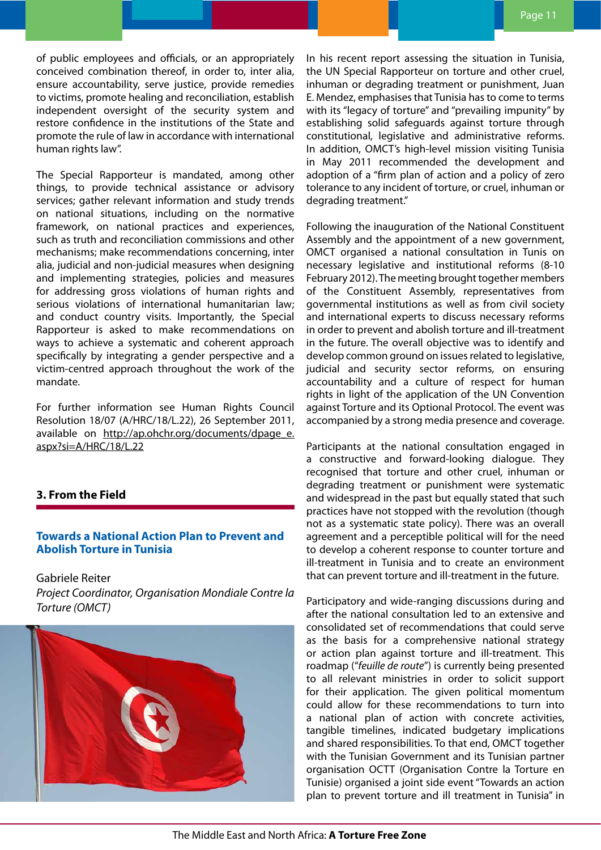<span id="page-10-0"></span>of public employees and officials, or an appropriately conceived combination thereof, in order to, inter alia, ensure accountability, serve justice, provide remedies to victims, promote healing and reconciliation, establish independent oversight of the security system and restore confidence in the institutions of the State and promote the rule of law in accordance with international human rights law".

The Special Rapporteur is mandated, among other things, to provide technical assistance or advisory services; gather relevant information and study trends on national situations, including on the normative framework, on national practices and experiences, such as truth and reconciliation commissions and other mechanisms; make recommendations concerning, inter alia, judicial and non-judicial measures when designing and implementing strategies, policies and measures for addressing gross violations of human rights and serious violations of international humanitarian law; and conduct country visits. Importantly, the Special Rapporteur is asked to make recommendations on ways to achieve a systematic and coherent approach specifically by integrating a gender perspective and a victim-centred approach throughout the work of the mandate.

For further information see Human Rights Council Resolution 18/07 (A/HRC/18/L.22), 26 September 2011, available on [http://ap.ohchr.org/documents/dpage\\_e.](http://ap.ohchr.org/documents/dpage_e.aspx?si=A/HRC/18/L.22) [aspx?si=A/HRC/18/L.22](http://ap.ohchr.org/documents/dpage_e.aspx?si=A/HRC/18/L.22)

# **3. From the Field**

## **Towards a National Action Plan to Prevent and Abolish Torture in Tunisia**

Gabriele Reiter *Project Coordinator, Organisation Mondiale Contre la Torture (OMCT)* 



In his recent report assessing the situation in Tunisia, the UN Special Rapporteur on torture and other cruel, inhuman or degrading treatment or punishment, Juan E. Mendez, emphasises that Tunisia has to come to terms with its "legacy of torture" and "prevailing impunity" by establishing solid safeguards against torture through constitutional, legislative and administrative reforms. In addition, OMCT's high-level mission visiting Tunisia in May 2011 recommended the development and adoption of a "firm plan of action and a policy of zero tolerance to any incident of torture, or cruel, inhuman or degrading treatment."

Following the inauguration of the National Constituent Assembly and the appointment of a new government, OMCT organised a national consultation in Tunis on necessary legislative and institutional reforms (8-10 February 2012). The meeting brought together members of the Constituent Assembly, representatives from governmental institutions as well as from civil society and international experts to discuss necessary reforms in order to prevent and abolish torture and ill-treatment in the future. The overall objective was to identify and develop common ground on issues related to legislative, judicial and security sector reforms, on ensuring accountability and a culture of respect for human rights in light of the application of the UN Convention against Torture and its Optional Protocol. The event was accompanied by a strong media presence and coverage.

Participants at the national consultation engaged in a constructive and forward-looking dialogue. They recognised that torture and other cruel, inhuman or degrading treatment or punishment were systematic and widespread in the past but equally stated that such practices have not stopped with the revolution (though not as a systematic state policy). There was an overall agreement and a perceptible political will for the need to develop a coherent response to counter torture and ill-treatment in Tunisia and to create an environment that can prevent torture and ill-treatment in the future.

Participatory and wide-ranging discussions during and after the national consultation led to an extensive and consolidated set of recommendations that could serve as the basis for a comprehensive national strategy or action plan against torture and ill-treatment. This roadmap ("*feuille de route*") is currently being presented to all relevant ministries in order to solicit support for their application. The given political momentum could allow for these recommendations to turn into a national plan of action with concrete activities, tangible timelines, indicated budgetary implications and shared responsibilities. To that end, OMCT together with the Tunisian Government and its Tunisian partner organisation OCTT (Organisation Contre la Torture en Tunisie) organised a joint side event "Towards an action plan to prevent torture and ill treatment in Tunisia" in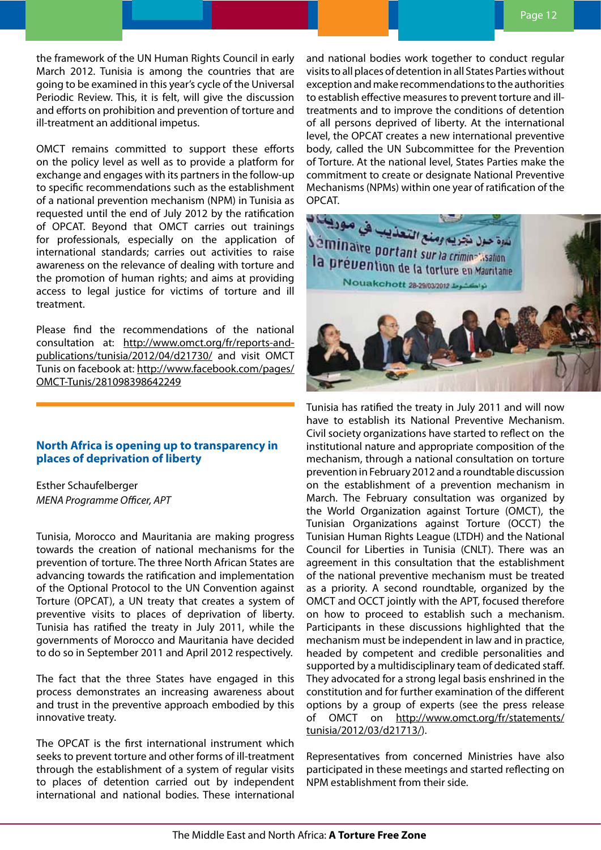<span id="page-11-0"></span>the framework of the UN Human Rights Council in early March 2012. Tunisia is among the countries that are going to be examined in this year's cycle of the Universal Periodic Review. This, it is felt, will give the discussion and efforts on prohibition and prevention of torture and ill-treatment an additional impetus.

OMCT remains committed to support these efforts on the policy level as well as to provide a platform for exchange and engages with its partners in the follow-up to specific recommendations such as the establishment of a national prevention mechanism (NPM) in Tunisia as requested until the end of July 2012 by the ratification of OPCAT. Beyond that OMCT carries out trainings for professionals, especially on the application of international standards; carries out activities to raise awareness on the relevance of dealing with torture and the promotion of human rights; and aims at providing access to legal justice for victims of torture and ill treatment.

Please find the recommendations of the national consultation at: [http://www.omct.org/fr/reports-and](http://www.omct.org/fr/reports-and-publications/tunisia/2012/04/d21730/)[publications/tunisia/2012/04/d21730/](http://www.omct.org/fr/reports-and-publications/tunisia/2012/04/d21730/) and visit OMCT Tunis on facebook at: [http://www.facebook.com/pages/](http://www.facebook.com/pages/OMCT-Tunis/281098398642249) [OMCT-Tunis/281098398642249](http://www.facebook.com/pages/OMCT-Tunis/281098398642249)

# **North Africa is opening up to transparency in places of deprivation of liberty**

Esther Schaufelberger *MENA Programme Officer, APT*

Tunisia, Morocco and Mauritania are making progress towards the creation of national mechanisms for the prevention of torture. The three North African States are advancing towards the ratification and implementation of the Optional Protocol to the UN Convention against Torture (OPCAT), a UN treaty that creates a system of preventive visits to places of deprivation of liberty. Tunisia has ratified the treaty in July 2011, while the governments of Morocco and Mauritania have decided to do so in September 2011 and April 2012 respectively.

The fact that the three States have engaged in this process demonstrates an increasing awareness about and trust in the preventive approach embodied by this innovative treaty.

The OPCAT is the first international instrument which seeks to prevent torture and other forms of ill-treatment through the establishment of a system of regular visits to places of detention carried out by independent international and national bodies. These international

and national bodies work together to conduct regular visits to all places of detention in all States Parties without exception and make recommendations to the authorities to establish effective measures to prevent torture and illtreatments and to improve the conditions of detention of all persons deprived of liberty. At the international level, the OPCAT creates a new international preventive body, called the UN Subcommittee for the Prevention of Torture. At the national level, States Parties make the commitment to create or designate National Preventive Mechanisms (NPMs) within one year of ratification of the OPCAT.



Tunisia has ratified the treaty in July 2011 and will now have to establish its National Preventive Mechanism. Civil society organizations have started to reflect on the institutional nature and appropriate composition of the mechanism, through a national consultation on torture prevention in February 2012 and a roundtable discussion on the establishment of a prevention mechanism in March. The February consultation was organized by the World Organization against Torture (OMCT), the Tunisian Organizations against Torture (OCCT) the Tunisian Human Rights League (LTDH) and the National Council for Liberties in Tunisia (CNLT). There was an agreement in this consultation that the establishment of the national preventive mechanism must be treated as a priority. A second roundtable, organized by the OMCT and OCCT jointly with the APT, focused therefore on how to proceed to establish such a mechanism. Participants in these discussions highlighted that the mechanism must be independent in law and in practice, headed by competent and credible personalities and supported by a multidisciplinary team of dedicated staff. They advocated for a strong legal basis enshrined in the constitution and for further examination of the different options by a group of experts (see the press release of OMCT on [http://www.omct.org/fr/statements/](http://www.omct.org/fr/statements/tunisia/2012/03/d21713/) [tunisia/2012/03/d21713/\)](http://www.omct.org/fr/statements/tunisia/2012/03/d21713/).

Representatives from concerned Ministries have also participated in these meetings and started reflecting on NPM establishment from their side.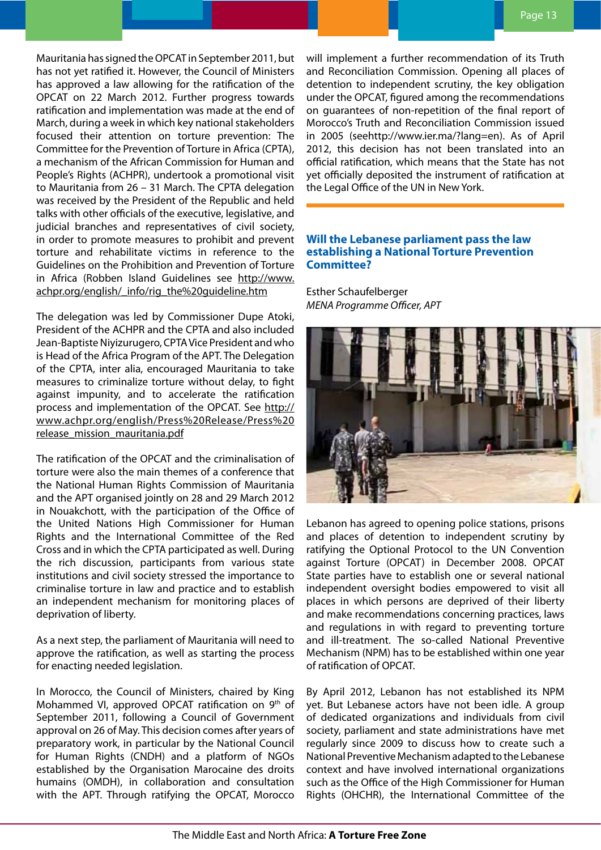<span id="page-12-0"></span>Mauritania has signed the OPCAT in September 2011, but has not yet ratified it. However, the Council of Ministers has approved a law allowing for the ratification of the OPCAT on 22 March 2012. Further progress towards ratification and implementation was made at the end of March, during a week in which key national stakeholders focused their attention on torture prevention: The Committee for the Prevention of Torture in Africa (CPTA), a mechanism of the African Commission for Human and People's Rights (ACHPR), undertook a promotional visit to Mauritania from 26 – 31 March. The CPTA delegation was received by the President of the Republic and held talks with other officials of the executive, legislative, and judicial branches and representatives of civil society, in order to promote measures to prohibit and prevent torture and rehabilitate victims in reference to the Guidelines on the Prohibition and Prevention of Torture in Africa (Robben Island Guidelines see [http://www.](http://www.achpr.org/english/_info/rig_the%20guideline.htm) [achpr.org/english/\\_info/rig\\_the%20guideline.htm](http://www.achpr.org/english/_info/rig_the%20guideline.htm)

The delegation was led by Commissioner Dupe Atoki, President of the ACHPR and the CPTA and also included Jean-Baptiste Niyizurugero, CPTA Vice President and who is Head of the Africa Program of the APT. The Delegation of the CPTA, inter alia, encouraged Mauritania to take measures to criminalize torture without delay, to fight against impunity, and to accelerate the ratification process and implementation of the OPCAT. See [http://](http://www.achpr.org/english/Press%20Release/Press%20release_mission_mauritania.pdf) [www.achpr.org/english/Press%20Release/Press%20](http://www.achpr.org/english/Press%20Release/Press%20release_mission_mauritania.pdf) [release\\_mission\\_mauritania.pdf](http://www.achpr.org/english/Press%20Release/Press%20release_mission_mauritania.pdf)

The ratification of the OPCAT and the criminalisation of torture were also the main themes of a conference that the National Human Rights Commission of Mauritania and the APT organised jointly on 28 and 29 March 2012 in Nouakchott, with the participation of the Office of the United Nations High Commissioner for Human Rights and the International Committee of the Red Cross and in which the CPTA participated as well. During the rich discussion, participants from various state institutions and civil society stressed the importance to criminalise torture in law and practice and to establish an independent mechanism for monitoring places of deprivation of liberty.

As a next step, the parliament of Mauritania will need to approve the ratification, as well as starting the process for enacting needed legislation.

In Morocco, the Council of Ministers, chaired by King Mohammed VI, approved OPCAT ratification on 9th of September 2011, following a Council of Government approval on 26 of May. This decision comes after years of preparatory work, in particular by the National Council for Human Rights (CNDH) and a platform of NGOs established by the Organisation Marocaine des droits humains (OMDH), in collaboration and consultation with the APT. Through ratifying the OPCAT, Morocco

will implement a further recommendation of its Truth and Reconciliation Commission. Opening all places of detention to independent scrutiny, the key obligation under the OPCAT, figured among the recommendations on guarantees of non-repetition of the final report of Morocco's Truth and Reconciliation Commission issued in 2005 (see[http://www.ier.ma/?lang=en\)](http://www.ier.ma/?lang=en). As of April 2012, this decision has not been translated into an official ratification, which means that the State has not yet officially deposited the instrument of ratification at the Legal Office of the UN in New York.

# **Will the Lebanese parliament pass the law establishing a National Torture Prevention Committee?**

Esther Schaufelberger *MENA Programme Officer, APT*



Lebanon has agreed to opening police stations, prisons and places of detention to independent scrutiny by ratifying the Optional Protocol to the UN Convention against Torture (OPCAT) in December 2008. OPCAT State parties have to establish one or several national independent oversight bodies empowered to visit all places in which persons are deprived of their liberty and make recommendations concerning practices, laws and regulations in with regard to preventing torture and ill-treatment. The so-called National Preventive Mechanism (NPM) has to be established within one year of ratification of OPCAT.

By April 2012, Lebanon has not established its NPM yet. But Lebanese actors have not been idle. A group of dedicated organizations and individuals from civil society, parliament and state administrations have met regularly since 2009 to discuss how to create such a National Preventive Mechanism adapted to the Lebanese context and have involved international organizations such as the Office of the High Commissioner for Human Rights (OHCHR), the International Committee of the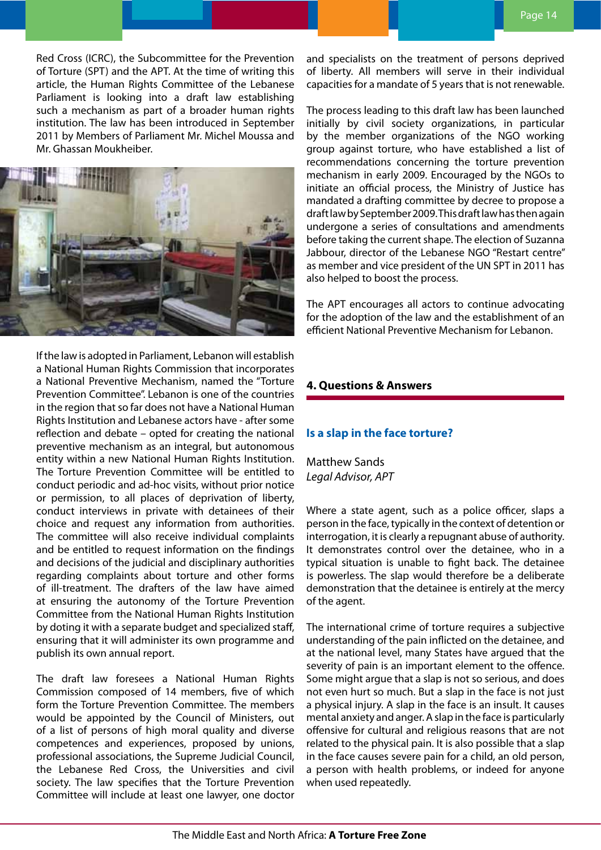<span id="page-13-0"></span>Red Cross (ICRC), the Subcommittee for the Prevention of Torture (SPT) and the APT. At the time of writing this article, the Human Rights Committee of the Lebanese Parliament is looking into a draft law establishing such a mechanism as part of a broader human rights institution. The law has been introduced in September 2011 by Members of Parliament Mr. Michel Moussa and Mr. Ghassan Moukheiber.



If the law is adopted in Parliament, Lebanon will establish a National Human Rights Commission that incorporates a National Preventive Mechanism, named the "Torture Prevention Committee". Lebanon is one of the countries in the region that so far does not have a National Human Rights Institution and Lebanese actors have - after some reflection and debate – opted for creating the national preventive mechanism as an integral, but autonomous entity within a new National Human Rights Institution. The Torture Prevention Committee will be entitled to conduct periodic and ad-hoc visits, without prior notice or permission, to all places of deprivation of liberty, conduct interviews in private with detainees of their choice and request any information from authorities. The committee will also receive individual complaints and be entitled to request information on the findings and decisions of the judicial and disciplinary authorities regarding complaints about torture and other forms of ill-treatment. The drafters of the law have aimed at ensuring the autonomy of the Torture Prevention Committee from the National Human Rights Institution by doting it with a separate budget and specialized staff, ensuring that it will administer its own programme and publish its own annual report.

The draft law foresees a National Human Rights Commission composed of 14 members, five of which form the Torture Prevention Committee. The members would be appointed by the Council of Ministers, out of a list of persons of high moral quality and diverse competences and experiences, proposed by unions, professional associations, the Supreme Judicial Council, the Lebanese Red Cross, the Universities and civil society. The law specifies that the Torture Prevention Committee will include at least one lawyer, one doctor

and specialists on the treatment of persons deprived of liberty. All members will serve in their individual capacities for a mandate of 5 years that is not renewable.

The process leading to this draft law has been launched initially by civil society organizations, in particular by the member organizations of the NGO working group against torture, who have established a list of recommendations concerning the torture prevention mechanism in early 2009. Encouraged by the NGOs to initiate an official process, the Ministry of Justice has mandated a drafting committee by decree to propose a draft law by September 2009. This draft law has then again undergone a series of consultations and amendments before taking the current shape. The election of Suzanna Jabbour, director of the Lebanese NGO "Restart centre" as member and vice president of the UN SPT in 2011 has also helped to boost the process.

The APT encourages all actors to continue advocating for the adoption of the law and the establishment of an efficient National Preventive Mechanism for Lebanon.

# **4. Questions & Answers**

# **Is a slap in the face torture?**

Matthew Sands *Legal Advisor, APT*

Where a state agent, such as a police officer, slaps a person in the face, typically in the context of detention or interrogation, it is clearly a repugnant abuse of authority. It demonstrates control over the detainee, who in a typical situation is unable to fight back. The detainee is powerless. The slap would therefore be a deliberate demonstration that the detainee is entirely at the mercy of the agent.

The international crime of torture requires a subjective understanding of the pain inflicted on the detainee, and at the national level, many States have argued that the severity of pain is an important element to the offence. Some might argue that a slap is not so serious, and does not even hurt so much. But a slap in the face is not just a physical injury. A slap in the face is an insult. It causes mental anxiety and anger. A slap in the face is particularly offensive for cultural and religious reasons that are not related to the physical pain. It is also possible that a slap in the face causes severe pain for a child, an old person, a person with health problems, or indeed for anyone when used repeatedly.